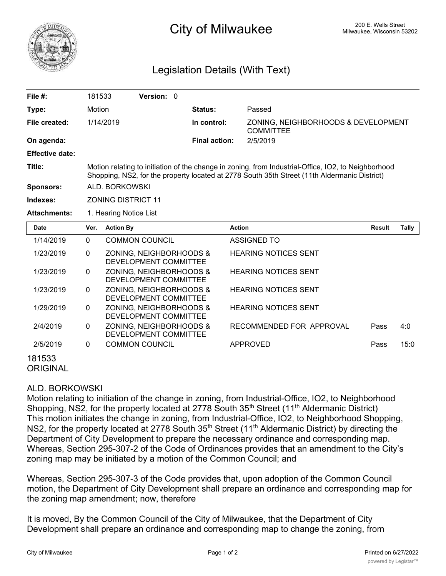

## Legislation Details (With Text)

| File #:                | 181533                                                                                                                                                                                              |                           | <b>Version:</b> 0 |  |                      |                                                         |               |       |  |  |  |  |
|------------------------|-----------------------------------------------------------------------------------------------------------------------------------------------------------------------------------------------------|---------------------------|-------------------|--|----------------------|---------------------------------------------------------|---------------|-------|--|--|--|--|
| Type:                  | Motion                                                                                                                                                                                              |                           |                   |  | <b>Status:</b>       | Passed                                                  |               |       |  |  |  |  |
| File created:          | 1/14/2019                                                                                                                                                                                           |                           |                   |  | In control:          | ZONING, NEIGHBORHOODS & DEVELOPMENT<br><b>COMMITTEE</b> |               |       |  |  |  |  |
| On agenda:             |                                                                                                                                                                                                     |                           |                   |  | <b>Final action:</b> | 2/5/2019                                                |               |       |  |  |  |  |
| <b>Effective date:</b> |                                                                                                                                                                                                     |                           |                   |  |                      |                                                         |               |       |  |  |  |  |
| Title:                 | Motion relating to initiation of the change in zoning, from Industrial-Office, IO2, to Neighborhood<br>Shopping, NS2, for the property located at 2778 South 35th Street (11th Aldermanic District) |                           |                   |  |                      |                                                         |               |       |  |  |  |  |
| <b>Sponsors:</b>       |                                                                                                                                                                                                     | ALD. BORKOWSKI            |                   |  |                      |                                                         |               |       |  |  |  |  |
| Indexes:               |                                                                                                                                                                                                     | <b>ZONING DISTRICT 11</b> |                   |  |                      |                                                         |               |       |  |  |  |  |
| <b>Attachments:</b>    |                                                                                                                                                                                                     | 1. Hearing Notice List    |                   |  |                      |                                                         |               |       |  |  |  |  |
| <b>Date</b>            | Ver.                                                                                                                                                                                                | <b>Action By</b>          |                   |  |                      | <b>Action</b>                                           | <b>Result</b> | Tally |  |  |  |  |
| 1/14/2019              | $\Omega$                                                                                                                                                                                            | COMMON COUNCIL            |                   |  |                      | ASSIGNED TO                                             |               |       |  |  |  |  |

| 1/14/2019                 | 0            | <b>COMMON COUNCIL</b>                            | ASSIGNED TO                 |      |      |
|---------------------------|--------------|--------------------------------------------------|-----------------------------|------|------|
| 1/23/2019                 | $\mathbf{0}$ | ZONING, NEIGHBORHOODS &<br>DEVELOPMENT COMMITTEE | <b>HEARING NOTICES SENT</b> |      |      |
| 1/23/2019                 | 0            | ZONING, NEIGHBORHOODS &<br>DEVELOPMENT COMMITTEE | <b>HEARING NOTICES SENT</b> |      |      |
| 1/23/2019                 | 0            | ZONING, NEIGHBORHOODS &<br>DEVELOPMENT COMMITTEE | <b>HEARING NOTICES SENT</b> |      |      |
| 1/29/2019                 | 0            | ZONING, NEIGHBORHOODS &<br>DEVELOPMENT COMMITTEE | <b>HEARING NOTICES SENT</b> |      |      |
| 2/4/2019                  | $\Omega$     | ZONING, NEIGHBORHOODS &<br>DEVELOPMENT COMMITTEE | RECOMMENDED FOR APPROVAL    | Pass | 4:0  |
| 2/5/2019                  | $\Omega$     | <b>COMMON COUNCIL</b>                            | APPROVED                    | Pass | 15:0 |
| 181533<br><b>ARIAILLI</b> |              |                                                  |                             |      |      |

**ORIGINAL** 

## ALD. BORKOWSKI

Motion relating to initiation of the change in zoning, from Industrial-Office, IO2, to Neighborhood Shopping, NS2, for the property located at 2778 South 35<sup>th</sup> Street (11<sup>th</sup> Aldermanic District) This motion initiates the change in zoning, from Industrial-Office, IO2, to Neighborhood Shopping, NS2, for the property located at 2778 South 35<sup>th</sup> Street (11<sup>th</sup> Aldermanic District) by directing the Department of City Development to prepare the necessary ordinance and corresponding map. Whereas, Section 295-307-2 of the Code of Ordinances provides that an amendment to the City's zoning map may be initiated by a motion of the Common Council; and

Whereas, Section 295-307-3 of the Code provides that, upon adoption of the Common Council motion, the Department of City Development shall prepare an ordinance and corresponding map for the zoning map amendment; now, therefore

It is moved, By the Common Council of the City of Milwaukee, that the Department of City Development shall prepare an ordinance and corresponding map to change the zoning, from